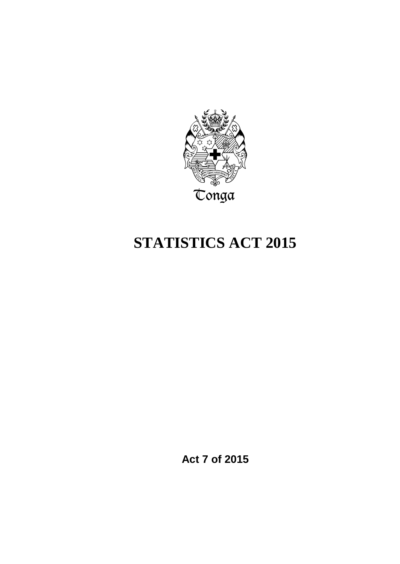

# **STATISTICS ACT 2015**

**Act 7 of 2015**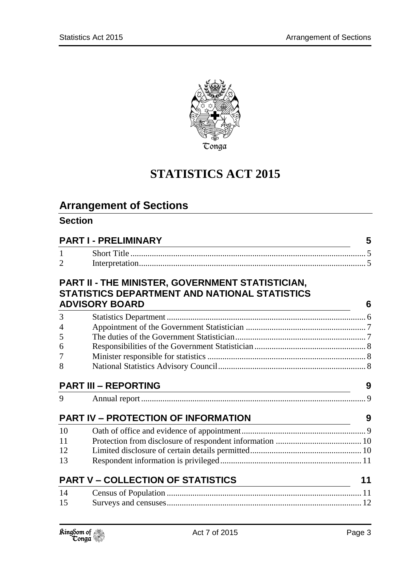

# **STATISTICS ACT 2015**

# **Arrangement of Sections**

### **Section**

| <b>PART I - PRELIMINARY</b> |                                                                                                                                               |    |
|-----------------------------|-----------------------------------------------------------------------------------------------------------------------------------------------|----|
| $\mathbf{1}$                |                                                                                                                                               |    |
| $\overline{2}$              |                                                                                                                                               |    |
|                             | <b>PART II - THE MINISTER, GOVERNMENT STATISTICIAN,</b><br>STATISTICS DEPARTMENT AND NATIONAL STATISTICS                                      |    |
|                             | <b>ADVISORY BOARD</b><br><u> 1989 - Johann Stein, marwolaethau a bhann an t-Amhain an t-Amhain an t-Amhain an t-Amhain an t-Amhain an t-A</u> | 6  |
| 3                           |                                                                                                                                               |    |
| 4                           |                                                                                                                                               |    |
| 5                           |                                                                                                                                               |    |
| 6                           |                                                                                                                                               |    |
| 7                           |                                                                                                                                               |    |
| 8                           |                                                                                                                                               |    |
| <b>PART III - REPORTING</b> |                                                                                                                                               |    |
|                             |                                                                                                                                               | 9  |
| 9                           |                                                                                                                                               |    |
|                             | <b>PART IV - PROTECTION OF INFORMATION</b>                                                                                                    | 9  |
| 10                          |                                                                                                                                               |    |
| 11                          |                                                                                                                                               |    |
| 12                          |                                                                                                                                               |    |
| 13                          |                                                                                                                                               |    |
|                             | <b>PART V - COLLECTION OF STATISTICS</b>                                                                                                      | 11 |
| 14                          |                                                                                                                                               |    |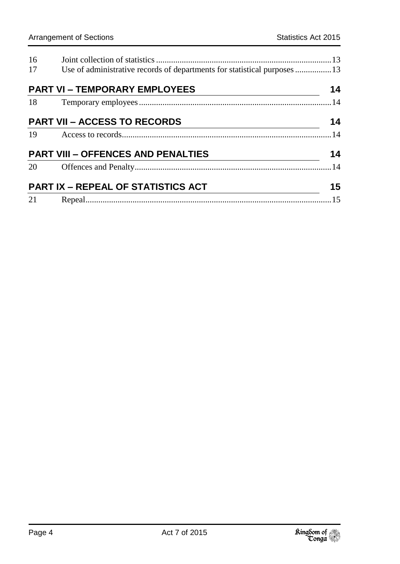| 16                                  |                                                                                                                                                                                                      |    |
|-------------------------------------|------------------------------------------------------------------------------------------------------------------------------------------------------------------------------------------------------|----|
| 17                                  | Use of administrative records of departments for statistical purposes 13                                                                                                                             |    |
|                                     | <b>PART VI - TEMPORARY EMPLOYEES</b>                                                                                                                                                                 | 14 |
|                                     |                                                                                                                                                                                                      |    |
| <b>PART VII - ACCESS TO RECORDS</b> |                                                                                                                                                                                                      |    |
|                                     |                                                                                                                                                                                                      |    |
|                                     |                                                                                                                                                                                                      |    |
|                                     | $\begin{array}{c c c c c} \hline \textbf{14} & \textbf{15} & \textbf{16} & \textbf{17} \\ \hline \textbf{20} & \textbf{0} & \textbf{0} & \textbf{0} & \textbf{0} & \textbf{0} \\ \hline \end{array}$ |    |
|                                     | <b>PART IX - REPEAL OF STATISTICS ACT</b>                                                                                                                                                            |    |
|                                     |                                                                                                                                                                                                      |    |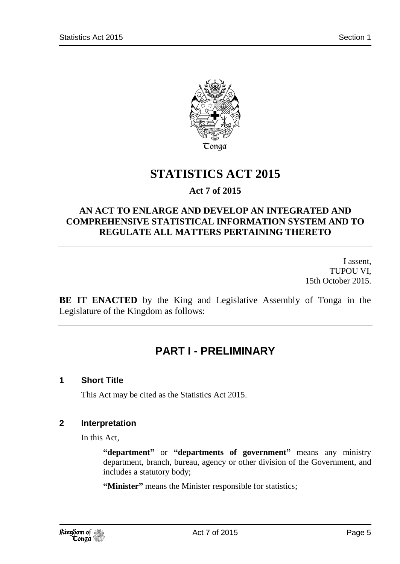

# **STATISTICS ACT 2015**

### **Act 7 of 2015**

### **AN ACT TO ENLARGE AND DEVELOP AN INTEGRATED AND COMPREHENSIVE STATISTICAL INFORMATION SYSTEM AND TO REGULATE ALL MATTERS PERTAINING THERETO**

I assent, TUPOU VI, 15th October 2015.

<span id="page-4-0"></span>**BE IT ENACTED** by the King and Legislative Assembly of Tonga in the Legislature of the Kingdom as follows:

### **PART I - PRELIMINARY**

### <span id="page-4-1"></span>**1 Short Title**

This Act may be cited as the Statistics Act 2015.

#### <span id="page-4-2"></span>**2 Interpretation**

In this Act,

**"department"** or **"departments of government"** means any ministry department, branch, bureau, agency or other division of the Government, and includes a statutory body;

**"Minister"** means the Minister responsible for statistics;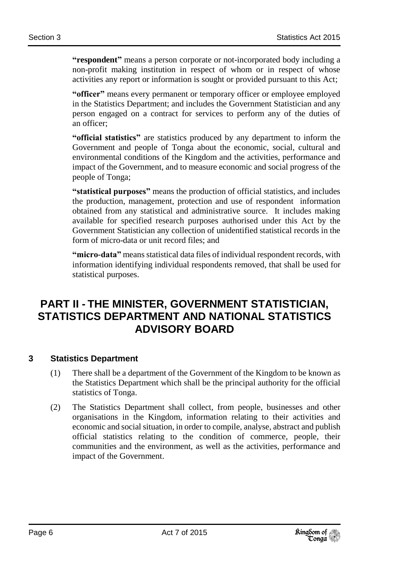**"respondent"** means a person corporate or not-incorporated body including a non-profit making institution in respect of whom or in respect of whose activities any report or information is sought or provided pursuant to this Act;

**"officer"** means every permanent or temporary officer or employee employed in the Statistics Department; and includes the Government Statistician and any person engaged on a contract for services to perform any of the duties of an officer;

**"official statistics"** are statistics produced by any department to inform the Government and people of Tonga about the economic, social, cultural and environmental conditions of the Kingdom and the activities, performance and impact of the Government, and to measure economic and social progress of the people of Tonga;

**"statistical purposes"** means the production of official statistics, and includes the production, management, protection and use of respondent information obtained from any statistical and administrative source. It includes making available for specified research purposes authorised under this Act by the Government Statistician any collection of unidentified statistical records in the form of micro-data or unit record files; and

**"micro-data"** means statistical data files of individual respondent records, with information identifying individual respondents removed, that shall be used for statistical purposes.

### <span id="page-5-0"></span>**PART II - THE MINISTER, GOVERNMENT STATISTICIAN, STATISTICS DEPARTMENT AND NATIONAL STATISTICS ADVISORY BOARD**

### <span id="page-5-1"></span>**3 Statistics Department**

- (1) There shall be a department of the Government of the Kingdom to be known as the Statistics Department which shall be the principal authority for the official statistics of Tonga.
- (2) The Statistics Department shall collect, from people, businesses and other organisations in the Kingdom, information relating to their activities and economic and social situation, in order to compile, analyse, abstract and publish official statistics relating to the condition of commerce, people, their communities and the environment, as well as the activities, performance and impact of the Government.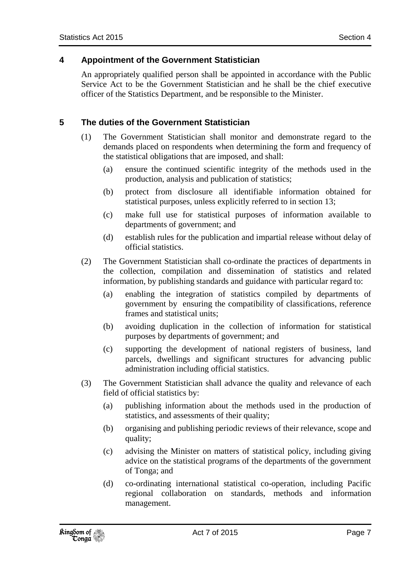#### <span id="page-6-0"></span>**4 Appointment of the Government Statistician**

An appropriately qualified person shall be appointed in accordance with the Public Service Act to be the Government Statistician and he shall be the chief executive officer of the Statistics Department, and be responsible to the Minister.

### <span id="page-6-1"></span>**5 The duties of the Government Statistician**

- (1) The Government Statistician shall monitor and demonstrate regard to the demands placed on respondents when determining the form and frequency of the statistical obligations that are imposed, and shall:
	- (a) ensure the continued scientific integrity of the methods used in the production, analysis and publication of statistics;
	- (b) protect from disclosure all identifiable information obtained for statistical purposes, unless explicitly referred to in section 13;
	- (c) make full use for statistical purposes of information available to departments of government; and
	- (d) establish rules for the publication and impartial release without delay of official statistics.
- (2) The Government Statistician shall co-ordinate the practices of departments in the collection, compilation and dissemination of statistics and related information, by publishing standards and guidance with particular regard to:
	- (a) enabling the integration of statistics compiled by departments of government by ensuring the compatibility of classifications, reference frames and statistical units;
	- (b) avoiding duplication in the collection of information for statistical purposes by departments of government; and
	- (c) supporting the development of national registers of business, land parcels, dwellings and significant structures for advancing public administration including official statistics.
- (3) The Government Statistician shall advance the quality and relevance of each field of official statistics by:
	- (a) publishing information about the methods used in the production of statistics, and assessments of their quality;
	- (b) organising and publishing periodic reviews of their relevance, scope and quality;
	- (c) advising the Minister on matters of statistical policy, including giving advice on the statistical programs of the departments of the government of Tonga; and
	- (d) co-ordinating international statistical co-operation, including Pacific regional collaboration on standards, methods and information management.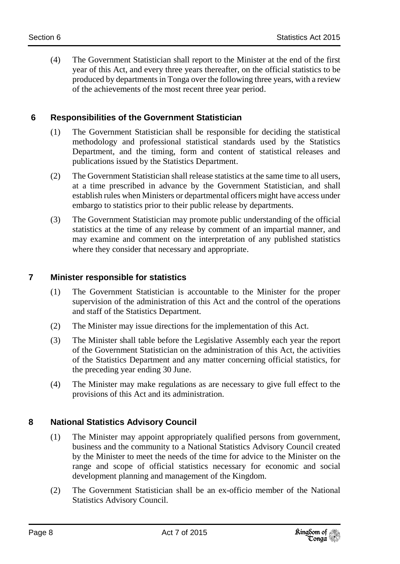(4) The Government Statistician shall report to the Minister at the end of the first year of this Act, and every three years thereafter, on the official statistics to be produced by departments in Tonga over the following three years, with a review of the achievements of the most recent three year period.

### <span id="page-7-0"></span>**6 Responsibilities of the Government Statistician**

- (1) The Government Statistician shall be responsible for deciding the statistical methodology and professional statistical standards used by the Statistics Department, and the timing, form and content of statistical releases and publications issued by the Statistics Department.
- (2) The Government Statistician shall release statistics at the same time to all users, at a time prescribed in advance by the Government Statistician, and shall establish rules when Ministers or departmental officers might have access under embargo to statistics prior to their public release by departments.
- (3) The Government Statistician may promote public understanding of the official statistics at the time of any release by comment of an impartial manner, and may examine and comment on the interpretation of any published statistics where they consider that necessary and appropriate.

### <span id="page-7-1"></span>**7 Minister responsible for statistics**

- (1) The Government Statistician is accountable to the Minister for the proper supervision of the administration of this Act and the control of the operations and staff of the Statistics Department.
- (2) The Minister may issue directions for the implementation of this Act.
- (3) The Minister shall table before the Legislative Assembly each year the report of the Government Statistician on the administration of this Act, the activities of the Statistics Department and any matter concerning official statistics, for the preceding year ending 30 June.
- (4) The Minister may make regulations as are necessary to give full effect to the provisions of this Act and its administration.

### <span id="page-7-2"></span>**8 National Statistics Advisory Council**

- (1) The Minister may appoint appropriately qualified persons from government, business and the community to a National Statistics Advisory Council created by the Minister to meet the needs of the time for advice to the Minister on the range and scope of official statistics necessary for economic and social development planning and management of the Kingdom.
- (2) The Government Statistician shall be an ex-officio member of the National Statistics Advisory Council.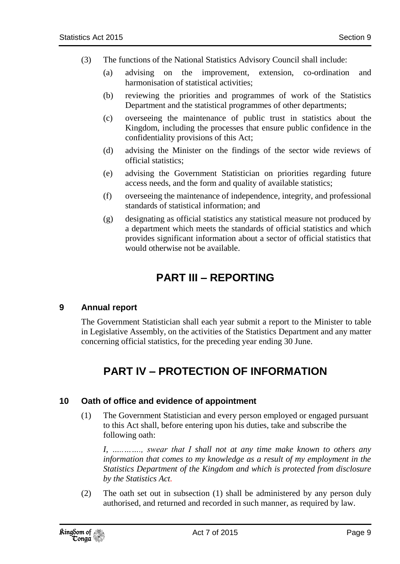- (3) The functions of the National Statistics Advisory Council shall include:
	- (a) advising on the improvement, extension, co-ordination and harmonisation of statistical activities;
	- (b) reviewing the priorities and programmes of work of the Statistics Department and the statistical programmes of other departments;
	- (c) overseeing the maintenance of public trust in statistics about the Kingdom, including the processes that ensure public confidence in the confidentiality provisions of this Act;
	- (d) advising the Minister on the findings of the sector wide reviews of official statistics;
	- (e) advising the Government Statistician on priorities regarding future access needs, and the form and quality of available statistics;
	- (f) overseeing the maintenance of independence, integrity, and professional standards of statistical information; and
	- (g) designating as official statistics any statistical measure not produced by a department which meets the standards of official statistics and which provides significant information about a sector of official statistics that would otherwise not be available.

### **PART III – REPORTING**

### <span id="page-8-1"></span><span id="page-8-0"></span>**9 Annual report**

<span id="page-8-2"></span>The Government Statistician shall each year submit a report to the Minister to table in Legislative Assembly, on the activities of the Statistics Department and any matter concerning official statistics, for the preceding year ending 30 June.

# **PART IV – PROTECTION OF INFORMATION**

#### <span id="page-8-3"></span>**10 Oath of office and evidence of appointment**

(1) The Government Statistician and every person employed or engaged pursuant to this Act shall, before entering upon his duties, take and subscribe the following oath:

*I, …..……., swear that I shall not at any time make known to others any information that comes to my knowledge as a result of my employment in the Statistics Department of the Kingdom and which is protected from disclosure by the Statistics Act.*

(2) The oath set out in subsection (1) shall be administered by any person duly authorised, and returned and recorded in such manner, as required by law.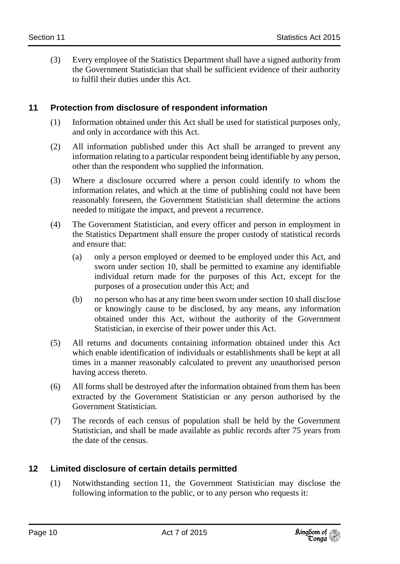(3) Every employee of the Statistics Department shall have a signed authority from the Government Statistician that shall be sufficient evidence of their authority to fulfil their duties under this Act.

### <span id="page-9-0"></span>**11 Protection from disclosure of respondent information**

- (1) Information obtained under this Act shall be used for statistical purposes only, and only in accordance with this Act.
- (2) All information published under this Act shall be arranged to prevent any information relating to a particular respondent being identifiable by any person, other than the respondent who supplied the information.
- (3) Where a disclosure occurred where a person could identify to whom the information relates, and which at the time of publishing could not have been reasonably foreseen, the Government Statistician shall determine the actions needed to mitigate the impact, and prevent a recurrence.
- (4) The Government Statistician, and every officer and person in employment in the Statistics Department shall ensure the proper custody of statistical records and ensure that:
	- (a) only a person employed or deemed to be employed under this Act, and sworn under section 10, shall be permitted to examine any identifiable individual return made for the purposes of this Act, except for the purposes of a prosecution under this Act; and
	- (b) no person who has at any time been sworn under section 10 shall disclose or knowingly cause to be disclosed, by any means, any information obtained under this Act, without the authority of the Government Statistician, in exercise of their power under this Act.
- (5) All returns and documents containing information obtained under this Act which enable identification of individuals or establishments shall be kept at all times in a manner reasonably calculated to prevent any unauthorised person having access thereto.
- (6) All forms shall be destroyed after the information obtained from them has been extracted by the Government Statistician or any person authorised by the Government Statistician.
- (7) The records of each census of population shall be held by the Government Statistician, and shall be made available as public records after 75 years from the date of the census.

### <span id="page-9-1"></span>**12 Limited disclosure of certain details permitted**

(1) Notwithstanding section 11, the Government Statistician may disclose the following information to the public, or to any person who requests it: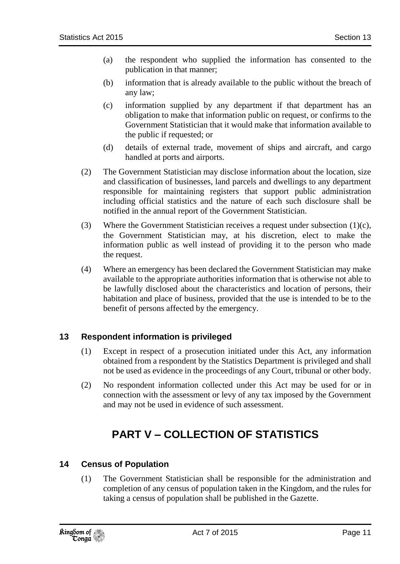- (a) the respondent who supplied the information has consented to the publication in that manner;
- (b) information that is already available to the public without the breach of any law;
- (c) information supplied by any department if that department has an obligation to make that information public on request, or confirms to the Government Statistician that it would make that information available to the public if requested; or
- (d) details of external trade, movement of ships and aircraft, and cargo handled at ports and airports.
- (2) The Government Statistician may disclose information about the location, size and classification of businesses, land parcels and dwellings to any department responsible for maintaining registers that support public administration including official statistics and the nature of each such disclosure shall be notified in the annual report of the Government Statistician.
- (3) Where the Government Statistician receives a request under subsection  $(1)(c)$ , the Government Statistician may, at his discretion, elect to make the information public as well instead of providing it to the person who made the request.
- (4) Where an emergency has been declared the Government Statistician may make available to the appropriate authorities information that is otherwise not able to be lawfully disclosed about the characteristics and location of persons, their habitation and place of business, provided that the use is intended to be to the benefit of persons affected by the emergency.

### <span id="page-10-0"></span>**13 Respondent information is privileged**

- (1) Except in respect of a prosecution initiated under this Act, any information obtained from a respondent by the Statistics Department is privileged and shall not be used as evidence in the proceedings of any Court, tribunal or other body.
- <span id="page-10-1"></span>(2) No respondent information collected under this Act may be used for or in connection with the assessment or levy of any tax imposed by the Government and may not be used in evidence of such assessment.

# **PART V – COLLECTION OF STATISTICS**

### <span id="page-10-2"></span>**14 Census of Population**

(1) The Government Statistician shall be responsible for the administration and completion of any census of population taken in the Kingdom, and the rules for taking a census of population shall be published in the Gazette.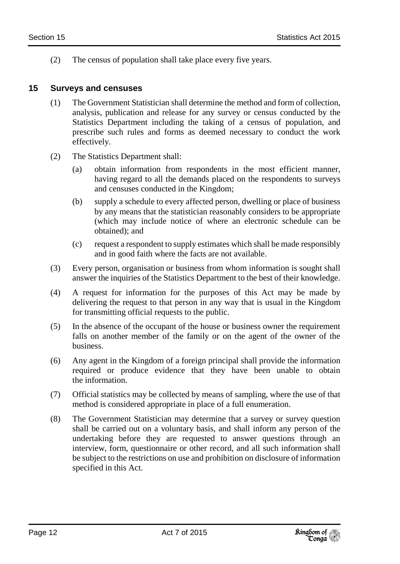(2) The census of population shall take place every five years.

### <span id="page-11-0"></span>**15 Surveys and censuses**

- (1) The Government Statistician shall determine the method and form of collection, analysis, publication and release for any survey or census conducted by the Statistics Department including the taking of a census of population, and prescribe such rules and forms as deemed necessary to conduct the work effectively.
- (2) The Statistics Department shall:
	- (a) obtain information from respondents in the most efficient manner, having regard to all the demands placed on the respondents to surveys and censuses conducted in the Kingdom;
	- (b) supply a schedule to every affected person, dwelling or place of business by any means that the statistician reasonably considers to be appropriate (which may include notice of where an electronic schedule can be obtained); and
	- (c) request a respondent to supply estimates which shall be made responsibly and in good faith where the facts are not available.
- (3) Every person, organisation or business from whom information is sought shall answer the inquiries of the Statistics Department to the best of their knowledge.
- (4) A request for information for the purposes of this Act may be made by delivering the request to that person in any way that is usual in the Kingdom for transmitting official requests to the public.
- (5) In the absence of the occupant of the house or business owner the requirement falls on another member of the family or on the agent of the owner of the business.
- (6) Any agent in the Kingdom of a foreign principal shall provide the information required or produce evidence that they have been unable to obtain the information.
- (7) Official statistics may be collected by means of sampling, where the use of that method is considered appropriate in place of a full enumeration.
- (8) The Government Statistician may determine that a survey or survey question shall be carried out on a voluntary basis, and shall inform any person of the undertaking before they are requested to answer questions through an interview, form, questionnaire or other record, and all such information shall be subject to the restrictions on use and prohibition on disclosure of information specified in this Act.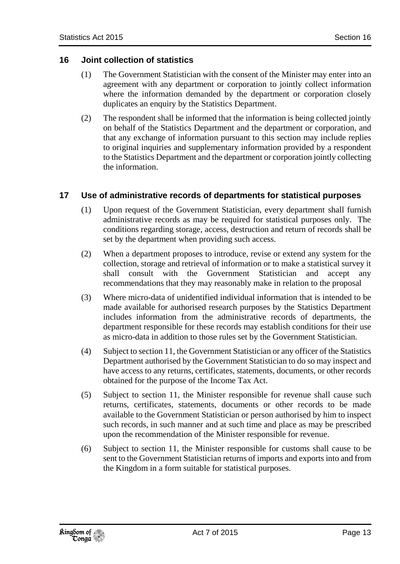- <span id="page-12-0"></span>(1) The Government Statistician with the consent of the Minister may enter into an agreement with any department or corporation to jointly collect information where the information demanded by the department or corporation closely duplicates an enquiry by the Statistics Department.
- (2) The respondent shall be informed that the information is being collected jointly on behalf of the Statistics Department and the department or corporation, and that any exchange of information pursuant to this section may include replies to original inquiries and supplementary information provided by a respondent to the Statistics Department and the department or corporation jointly collecting the information.

### <span id="page-12-1"></span>**17 Use of administrative records of departments for statistical purposes**

- (1) Upon request of the Government Statistician, every department shall furnish administrative records as may be required for statistical purposes only. The conditions regarding storage, access, destruction and return of records shall be set by the department when providing such access.
- (2) When a department proposes to introduce, revise or extend any system for the collection, storage and retrieval of information or to make a statistical survey it shall consult with the Government Statistician and accept any recommendations that they may reasonably make in relation to the proposal
- (3) Where micro-data of unidentified individual information that is intended to be made available for authorised research purposes by the Statistics Department includes information from the administrative records of departments, the department responsible for these records may establish conditions for their use as micro-data in addition to those rules set by the Government Statistician.
- (4) Subject to section 11, the Government Statistician or any officer of the Statistics Department authorised by the Government Statistician to do so may inspect and have access to any returns, certificates, statements, documents, or other records obtained for the purpose of the Income Tax Act.
- (5) Subject to section 11, the Minister responsible for revenue shall cause such returns, certificates, statements, documents or other records to be made available to the Government Statistician or person authorised by him to inspect such records, in such manner and at such time and place as may be prescribed upon the recommendation of the Minister responsible for revenue.
- (6) Subject to section 11, the Minister responsible for customs shall cause to be sent to the Government Statistician returns of imports and exports into and from the Kingdom in a form suitable for statistical purposes.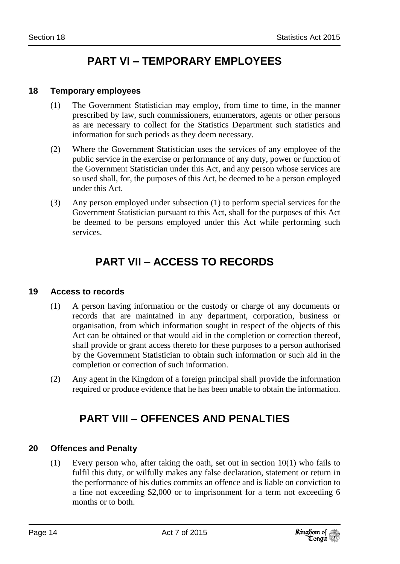# **PART VI – TEMPORARY EMPLOYEES**

#### <span id="page-13-1"></span><span id="page-13-0"></span>**18 Temporary employees**

- (1) The Government Statistician may employ, from time to time, in the manner prescribed by law, such commissioners, enumerators, agents or other persons as are necessary to collect for the Statistics Department such statistics and information for such periods as they deem necessary.
- (2) Where the Government Statistician uses the services of any employee of the public service in the exercise or performance of any duty, power or function of the Government Statistician under this Act, and any person whose services are so used shall, for, the purposes of this Act, be deemed to be a person employed under this Act.
- <span id="page-13-2"></span>(3) Any person employed under subsection (1) to perform special services for the Government Statistician pursuant to this Act, shall for the purposes of this Act be deemed to be persons employed under this Act while performing such services.

# **PART VII – ACCESS TO RECORDS**

#### <span id="page-13-3"></span>**19 Access to records**

- (1) A person having information or the custody or charge of any documents or records that are maintained in any department, corporation, business or organisation, from which information sought in respect of the objects of this Act can be obtained or that would aid in the completion or correction thereof, shall provide or grant access thereto for these purposes to a person authorised by the Government Statistician to obtain such information or such aid in the completion or correction of such information.
- <span id="page-13-4"></span>(2) Any agent in the Kingdom of a foreign principal shall provide the information required or produce evidence that he has been unable to obtain the information.

### **PART VIII – OFFENCES AND PENALTIES**

### <span id="page-13-5"></span>**20 Offences and Penalty**

(1) Every person who, after taking the oath, set out in section 10(1) who fails to fulfil this duty, or wilfully makes any false declaration, statement or return in the performance of his duties commits an offence and is liable on conviction to a fine not exceeding \$2,000 or to imprisonment for a term not exceeding 6 months or to both.